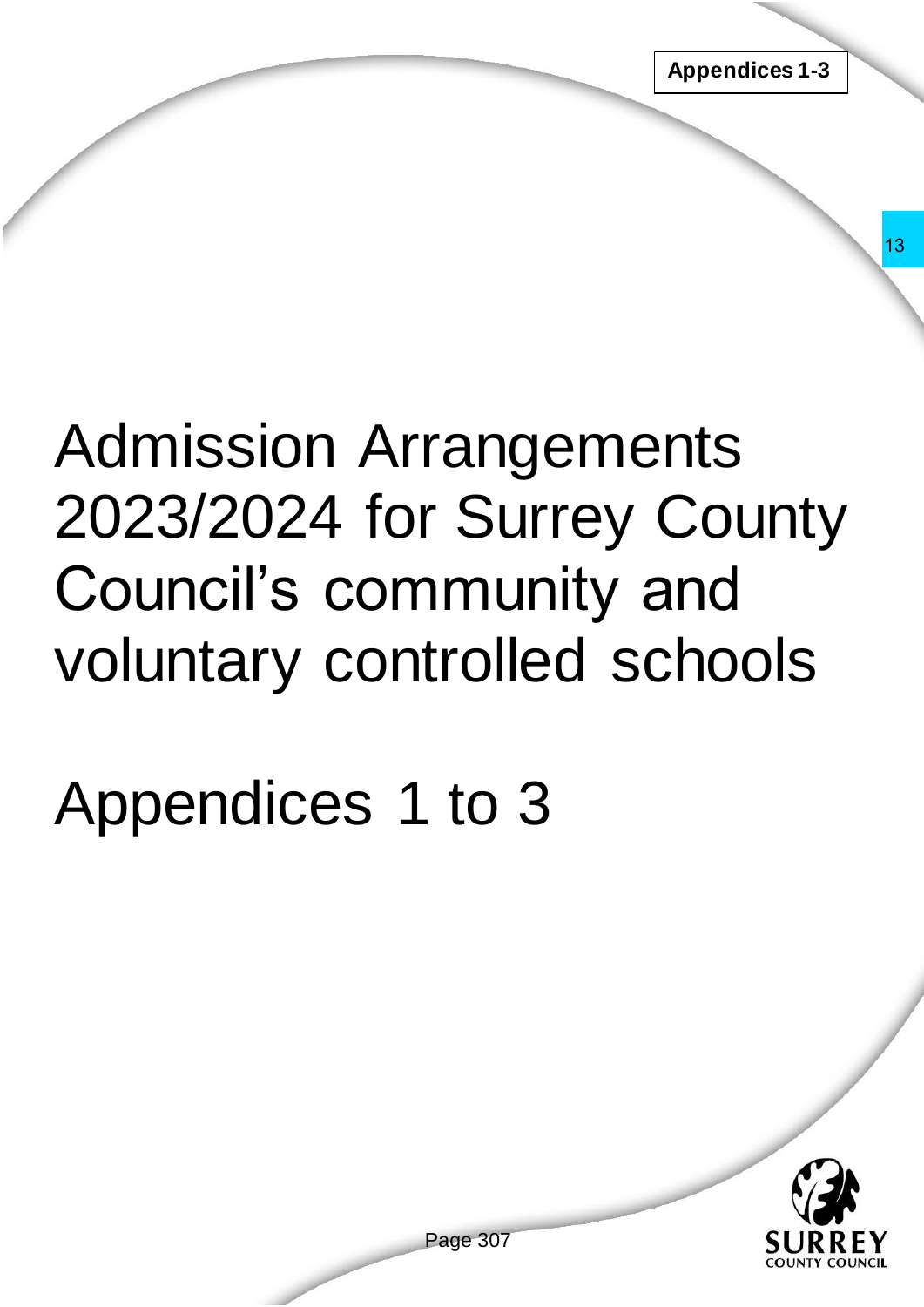# Admission Arrangements 2023/2024 for Surrey County Council's community and voluntary controlled schools rangements<br>
r Surrey County<br>
imunity and<br>
trolled schools<br>
to 3<br>
Page 307

# Appendices 1 to 3

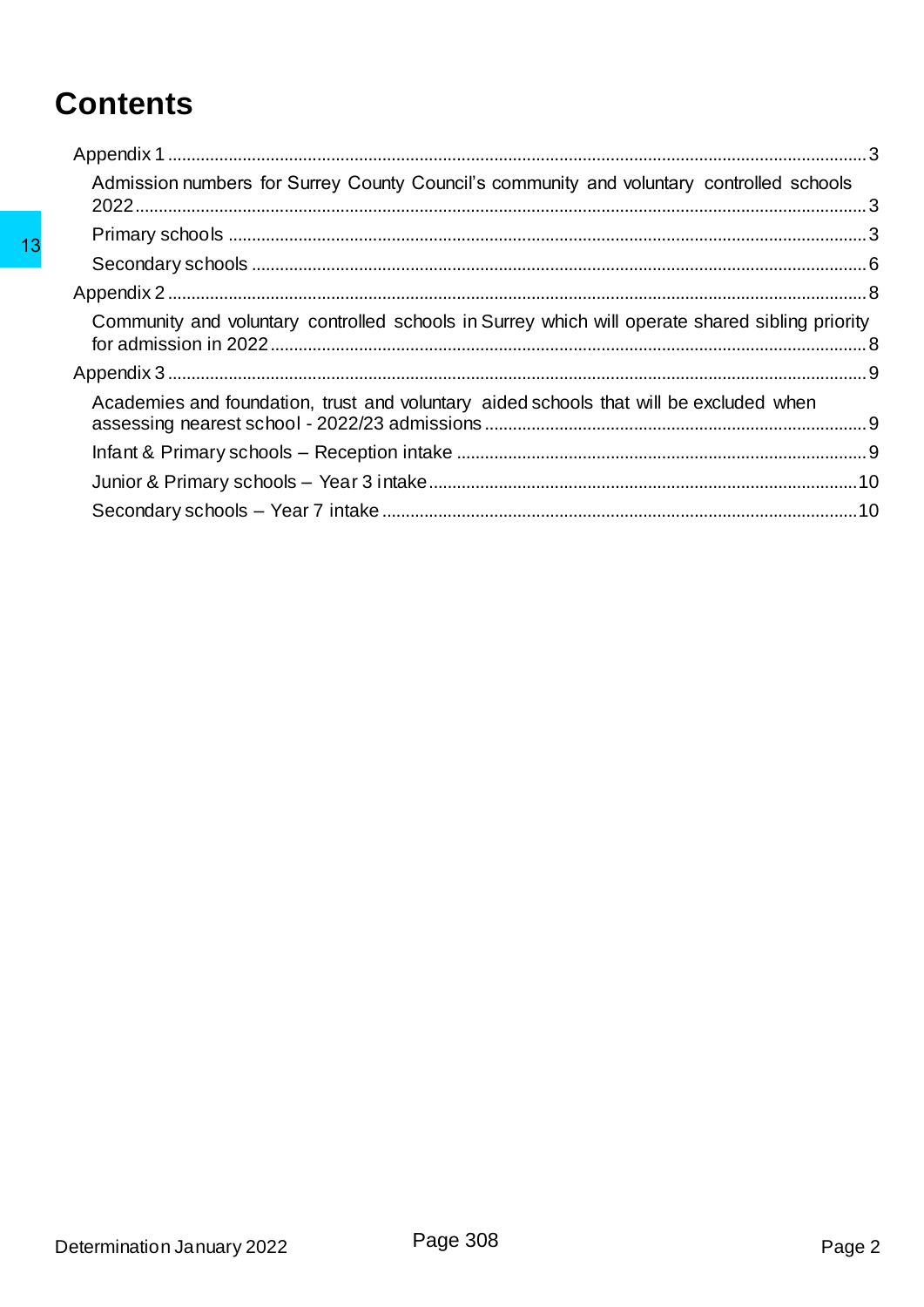# **Contents**

| Admission numbers for Surrey County Council's community and voluntary controlled schools        |  |
|-------------------------------------------------------------------------------------------------|--|
|                                                                                                 |  |
|                                                                                                 |  |
|                                                                                                 |  |
| Community and voluntary controlled schools in Surrey which will operate shared sibling priority |  |
|                                                                                                 |  |
| Academies and foundation, trust and voluntary aided schools that will be excluded when          |  |
|                                                                                                 |  |
|                                                                                                 |  |
|                                                                                                 |  |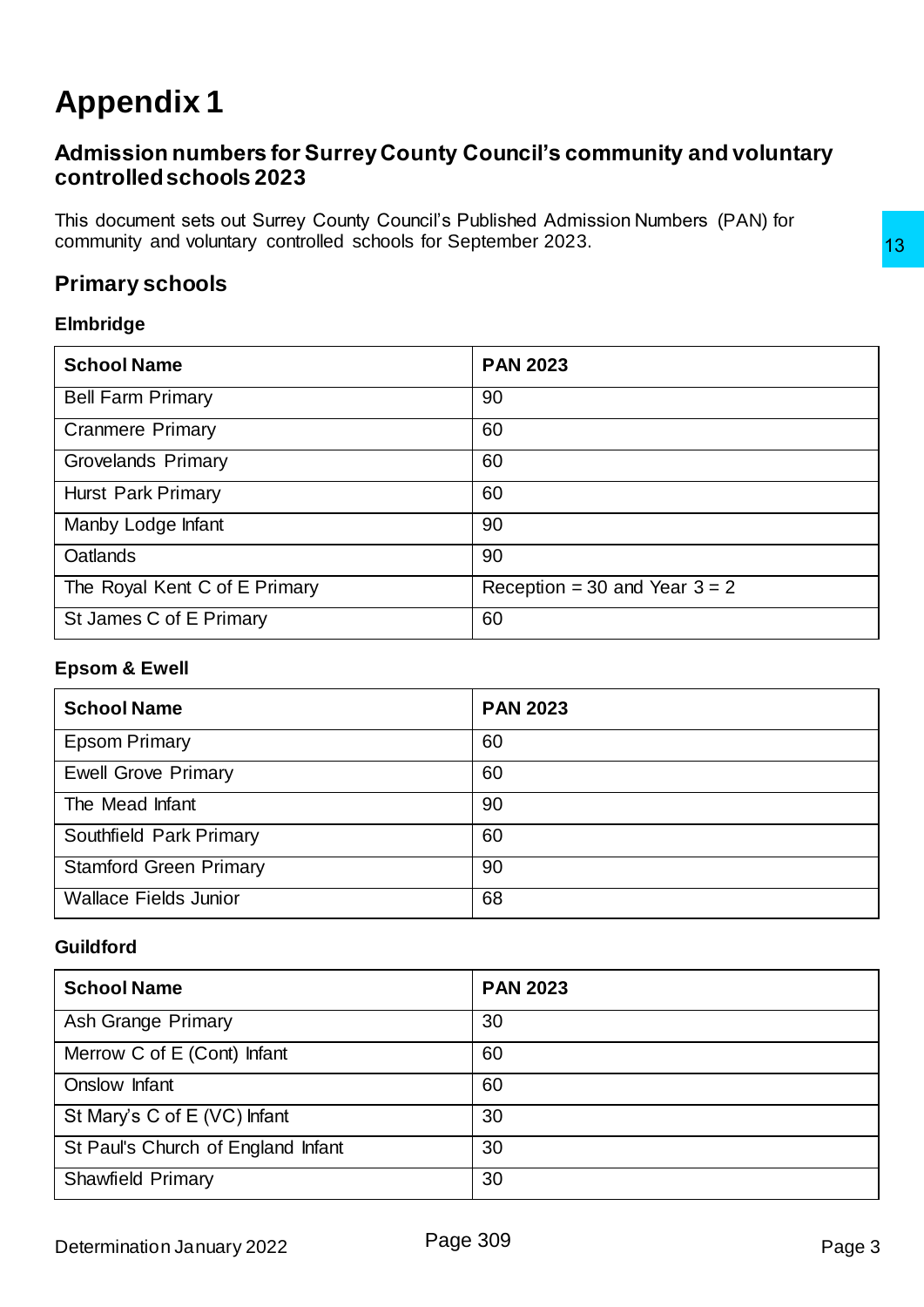# <span id="page-2-0"></span>**Appendix 1**

### <span id="page-2-1"></span>**Admission numbers for Surrey County Council's community and voluntary controlled schools 2023**

This document sets out Surrey County Council's Published Admission Numbers (PAN) for community and voluntary controlled schools for September 2023.

### <span id="page-2-2"></span>**Primary schools**

### **Elmbridge**

| community and voluntary controlled schools for September 2023. |                                 |  |
|----------------------------------------------------------------|---------------------------------|--|
| <b>Primary schools</b>                                         |                                 |  |
| <b>Elmbridge</b>                                               |                                 |  |
| <b>School Name</b>                                             | <b>PAN 2023</b>                 |  |
| <b>Bell Farm Primary</b>                                       | 90                              |  |
| <b>Cranmere Primary</b>                                        | 60                              |  |
| Grovelands Primary                                             | 60                              |  |
| Hurst Park Primary                                             | 60                              |  |
| Manby Lodge Infant                                             | 90                              |  |
| Oatlands                                                       | 90                              |  |
| The Royal Kent C of E Primary                                  | Reception = 30 and Year $3 = 2$ |  |
| St James C of E Primary                                        | 60                              |  |
| <b>Epsom &amp; Ewell</b>                                       |                                 |  |
| <b>School Name</b>                                             | <b>PAN 2023</b>                 |  |
| <b>Epsom Primary</b>                                           | 60                              |  |
| <b>Ewell Grove Primary</b>                                     | 60                              |  |
| The Mead Infant                                                | 90                              |  |
| Southfield Park Primary                                        | 60                              |  |
| <b>Stamford Green Primary</b>                                  | 90                              |  |
| <b>Wallace Fields Junior</b>                                   | 68                              |  |
| <b>Guildford</b>                                               |                                 |  |
| <b>School Name</b>                                             | <b>PAN 2023</b>                 |  |
| Ash Grange Primary                                             | 30                              |  |
| Merrow C of E (Cont) Infant                                    | 60                              |  |
| Onslow Infant                                                  | 60                              |  |
| St Mary's C of E (VC) Infant                                   | 30                              |  |
| St Paul's Church of England Infant                             | 30                              |  |
| <b>Shawfield Primary</b>                                       | 30                              |  |

### **Epsom & Ewell**

| <b>School Name</b>            | <b>PAN 2023</b> |
|-------------------------------|-----------------|
| <b>Epsom Primary</b>          | 60              |
| <b>Ewell Grove Primary</b>    | 60              |
| The Mead Infant               | 90              |
| Southfield Park Primary       | 60              |
| <b>Stamford Green Primary</b> | 90              |
| <b>Wallace Fields Junior</b>  | 68              |

### **Guildford**

| <b>School Name</b>                 | <b>PAN 2023</b> |
|------------------------------------|-----------------|
| Ash Grange Primary                 | 30              |
| Merrow C of E (Cont) Infant        | 60              |
| Onslow Infant                      | 60              |
| St Mary's C of E (VC) Infant       | 30              |
| St Paul's Church of England Infant | 30              |
| <b>Shawfield Primary</b>           | 30              |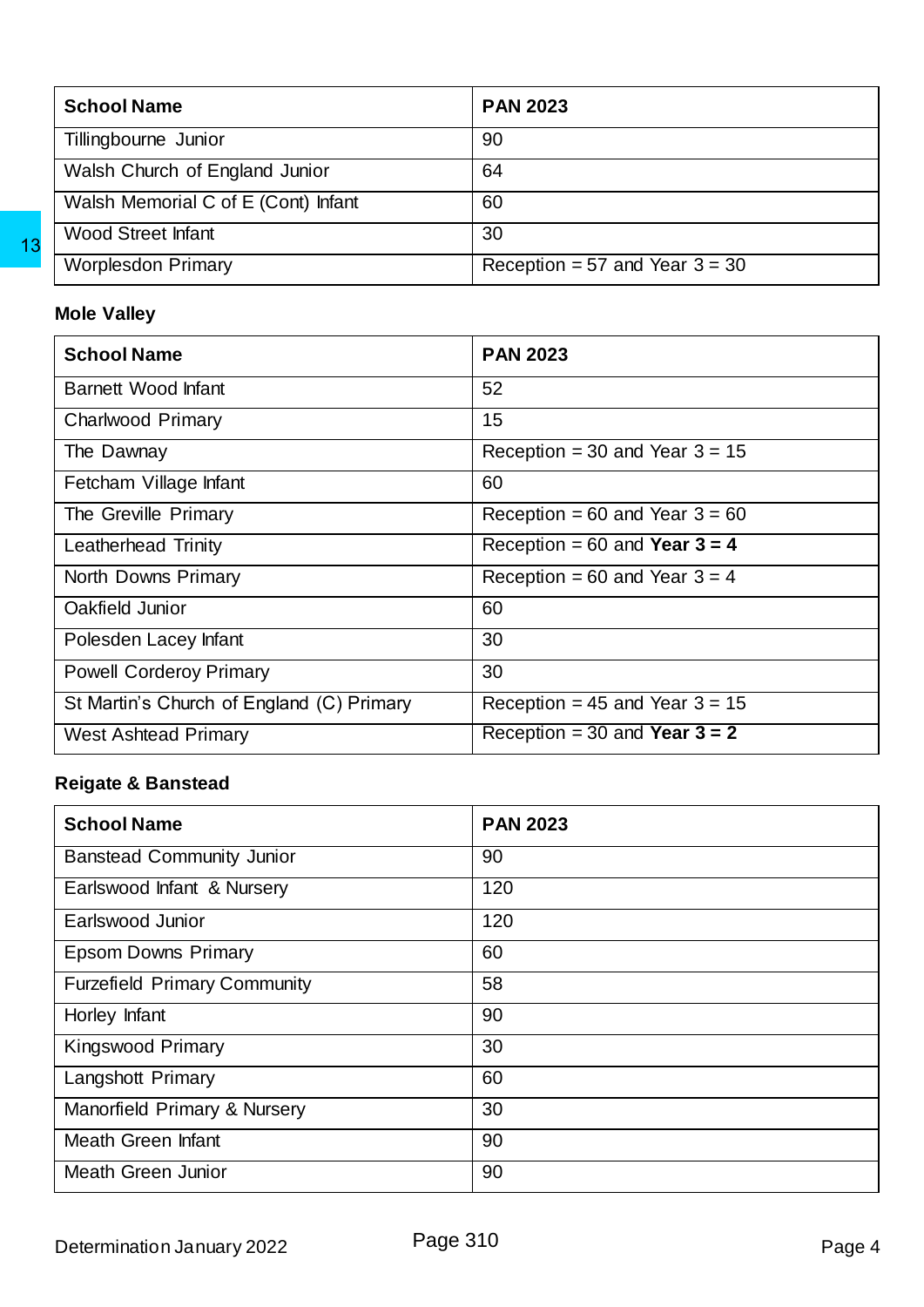| <b>School Name</b>                  | <b>PAN 2023</b>                  |
|-------------------------------------|----------------------------------|
| Tillingbourne Junior                | 90                               |
| Walsh Church of England Junior      | 64                               |
| Walsh Memorial C of E (Cont) Infant | 60                               |
| <b>Wood Street Infant</b>           | 30                               |
| <b>Worplesdon Primary</b>           | Reception = 57 and Year $3 = 30$ |

### **Mole Valley**

| <b>Worplesdon Primary</b>                                                                                     | Reception = $57$ and Year $3 = 30$ |
|---------------------------------------------------------------------------------------------------------------|------------------------------------|
| <b>Mole Valley</b>                                                                                            |                                    |
| <b>School Name</b>                                                                                            | <b>PAN 2023</b>                    |
| <b>Barnett Wood Infant</b>                                                                                    | 52                                 |
| <b>Charlwood Primary</b>                                                                                      | 15                                 |
| The Dawnay                                                                                                    | Reception = 30 and Year $3 = 15$   |
| Fetcham Village Infant                                                                                        | 60                                 |
| The Greville Primary                                                                                          | Reception = 60 and Year $3 = 60$   |
| Leatherhead Trinity                                                                                           | Reception = $60$ and Year $3 = 4$  |
| North Downs Primary                                                                                           | Reception = 60 and Year $3 = 4$    |
| Oakfield Junior                                                                                               | 60                                 |
| Polesden Lacey Infant                                                                                         | 30                                 |
| <b>Powell Corderoy Primary</b>                                                                                | 30                                 |
| St Martin's Church of England (C) Primary                                                                     | Reception = $45$ and Year $3 = 15$ |
| <b>West Ashtead Primary</b>                                                                                   | Reception = $30$ and Year $3 = 2$  |
| <b>Reigate &amp; Banstead</b>                                                                                 |                                    |
| <b>School Name</b>                                                                                            | <b>PAN 2023</b>                    |
| <b>Banstead Community Junior</b>                                                                              | 90                                 |
| Earlswood Infant & Nursery                                                                                    | 120                                |
| Earlswood Junior                                                                                              |                                    |
|                                                                                                               | 120                                |
|                                                                                                               | 60                                 |
|                                                                                                               | 58                                 |
|                                                                                                               | 90                                 |
|                                                                                                               | 30                                 |
| <b>Epsom Downs Primary</b><br><b>Furzefield Primary Community</b>                                             | 60                                 |
|                                                                                                               | 30                                 |
| Horley Infant<br>Kingswood Primary<br>Langshott Primary<br>Manorfield Primary & Nursery<br>Meath Green Infant | 90                                 |

### **Reigate & Banstead**

| <b>School Name</b>                  | <b>PAN 2023</b> |
|-------------------------------------|-----------------|
| <b>Banstead Community Junior</b>    | 90              |
| Earlswood Infant & Nursery          | 120             |
| Earlswood Junior                    | 120             |
| <b>Epsom Downs Primary</b>          | 60              |
| <b>Furzefield Primary Community</b> | 58              |
| Horley Infant                       | 90              |
| <b>Kingswood Primary</b>            | 30              |
| <b>Langshott Primary</b>            | 60              |
| Manorfield Primary & Nursery        | 30              |
| Meath Green Infant                  | 90              |
| <b>Meath Green Junior</b>           | 90              |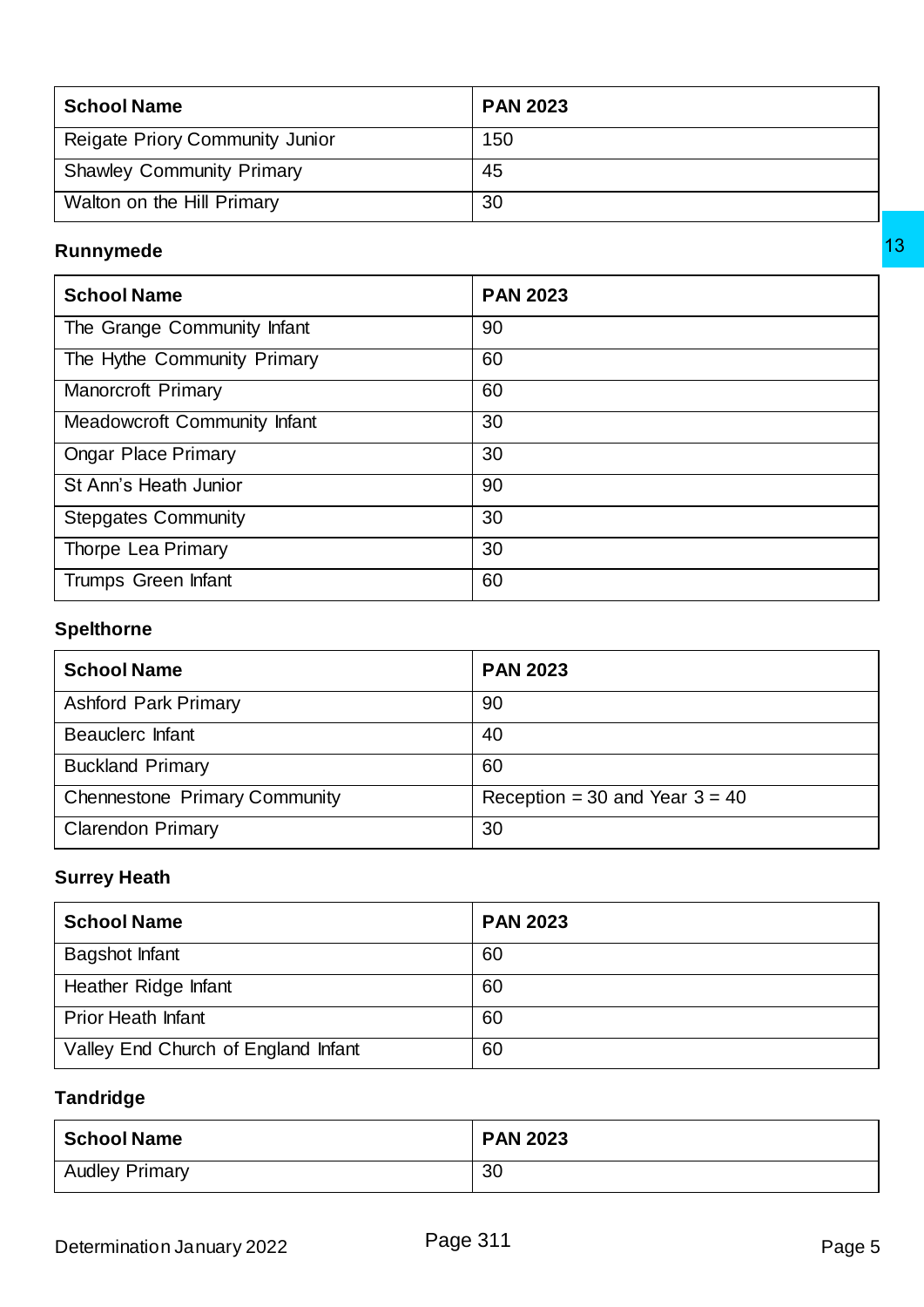| <b>School Name</b>                     | <b>PAN 2023</b> |
|----------------------------------------|-----------------|
| <b>Reigate Priory Community Junior</b> | 150             |
| <b>Shawley Community Primary</b>       | 45              |
| Walton on the Hill Primary             | 30              |

### **Runnymede**

| <b>School Name</b>                   | <b>PAN 2023</b>                  |  |
|--------------------------------------|----------------------------------|--|
| The Grange Community Infant          | 90                               |  |
| The Hythe Community Primary          | 60                               |  |
| Manorcroft Primary                   | 60                               |  |
| <b>Meadowcroft Community Infant</b>  | 30                               |  |
| <b>Ongar Place Primary</b>           | 30                               |  |
| St Ann's Heath Junior                | 90                               |  |
| <b>Stepgates Community</b>           | 30                               |  |
| Thorpe Lea Primary                   | 30                               |  |
| Trumps Green Infant                  | 60                               |  |
| <b>Spelthorne</b>                    |                                  |  |
| <b>School Name</b>                   | <b>PAN 2023</b>                  |  |
| <b>Ashford Park Primary</b>          | 90                               |  |
| <b>Beauclerc Infant</b>              | 40                               |  |
| <b>Buckland Primary</b>              | 60                               |  |
| <b>Chennestone Primary Community</b> | Reception = 30 and Year $3 = 40$ |  |
| <b>Clarendon Primary</b>             | 30                               |  |
| <b>Surrey Heath</b>                  |                                  |  |
| <b>School Name</b>                   | <b>PAN 2023</b>                  |  |
| <b>Bagshot Infant</b>                | 60                               |  |
| Heather Ridge Infant                 | 60                               |  |
| <b>Prior Heath Infant</b>            | 60                               |  |
| Valley End Church of England Infant  | 60                               |  |
| <b>Tandridge</b>                     |                                  |  |
| <b>School Name</b>                   | <b>PAN 2023</b>                  |  |
| <b>Audley Primary</b>                | 30 <sup>2</sup>                  |  |

### **Spelthorne**

| <b>School Name</b>                   | <b>PAN 2023</b>                  |
|--------------------------------------|----------------------------------|
| <b>Ashford Park Primary</b>          | 90                               |
| Beauclerc Infant                     | 40                               |
| <b>Buckland Primary</b>              | 60                               |
| <b>Chennestone Primary Community</b> | Reception = 30 and Year $3 = 40$ |
| <b>Clarendon Primary</b>             | 30                               |

### **Surrey Heath**

| <b>School Name</b>                  | <b>PAN 2023</b> |
|-------------------------------------|-----------------|
| <b>Bagshot Infant</b>               | 60              |
| Heather Ridge Infant                | 60              |
| <b>Prior Heath Infant</b>           | 60              |
| Valley End Church of England Infant | 60              |

### **Tandridge**

| <b>School Name</b>    | <b>PAN 2023</b> |
|-----------------------|-----------------|
| <b>Audley Primary</b> | 30              |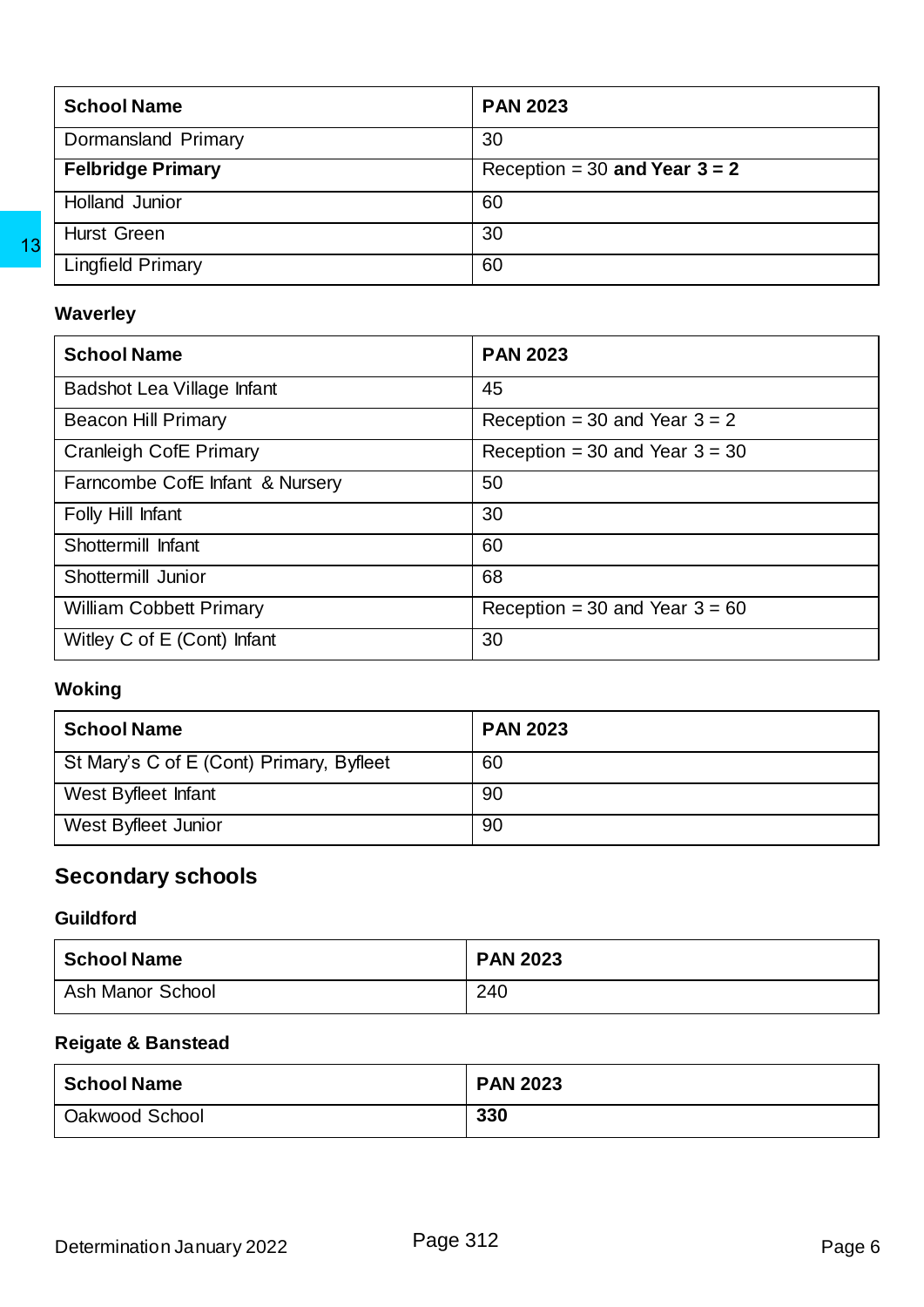| <b>School Name</b>       | <b>PAN 2023</b>                 |
|--------------------------|---------------------------------|
| Dormansland Primary      | 30                              |
| <b>Felbridge Primary</b> | Reception = 30 and Year $3 = 2$ |
| Holland Junior           | 60                              |
| <b>Hurst Green</b>       | 30                              |
| <b>Lingfield Primary</b> | 60                              |

### **Waverley**

| <b>Lingfield Primary</b>                                           | 60                               |  |
|--------------------------------------------------------------------|----------------------------------|--|
| <b>Waverley</b>                                                    |                                  |  |
| <b>School Name</b>                                                 | <b>PAN 2023</b>                  |  |
| Badshot Lea Village Infant                                         | 45                               |  |
| <b>Beacon Hill Primary</b>                                         | Reception = 30 and Year $3 = 2$  |  |
| <b>Cranleigh CofE Primary</b>                                      | Reception = 30 and Year $3 = 30$ |  |
| Farncombe CofE Infant & Nursery                                    | 50                               |  |
| Folly Hill Infant                                                  | 30                               |  |
| Shottermill Infant                                                 | 60                               |  |
| Shottermill Junior                                                 | 68                               |  |
| <b>William Cobbett Primary</b>                                     | Reception = 30 and Year $3 = 60$ |  |
| Witley C of E (Cont) Infant                                        | 30                               |  |
| <b>Woking</b>                                                      |                                  |  |
| <b>School Name</b>                                                 | <b>PAN 2023</b>                  |  |
| St Mary's C of E (Cont) Primary, Byfleet                           | 60                               |  |
| West Byfleet Infant                                                | 90                               |  |
| West Byfleet Junior                                                | 90                               |  |
|                                                                    |                                  |  |
| <b>Secondary schools</b><br><b>Guildford</b><br><b>School Name</b> | <b>PAN 2023</b>                  |  |
| <b>Ash Manor School</b>                                            | 240                              |  |
| <b>Reigate &amp; Banstead</b>                                      |                                  |  |
| <b>School Name</b>                                                 | <b>PAN 2023</b>                  |  |

### **Woking**

| <b>School Name</b>                       | <b>PAN 2023</b> |
|------------------------------------------|-----------------|
| St Mary's C of E (Cont) Primary, Byfleet | 60              |
| West Byfleet Infant                      | 90              |
| West Byfleet Junior                      | 90              |

### <span id="page-5-0"></span>**Secondary schools**

### **Guildford**

| <b>School Name</b> | <b>PAN 2023</b> |
|--------------------|-----------------|
| Ash Manor School   | 240             |

### **Reigate & Banstead**

| <b>School Name</b> | <b>PAN 2023</b> |
|--------------------|-----------------|
| Oakwood School     | 330             |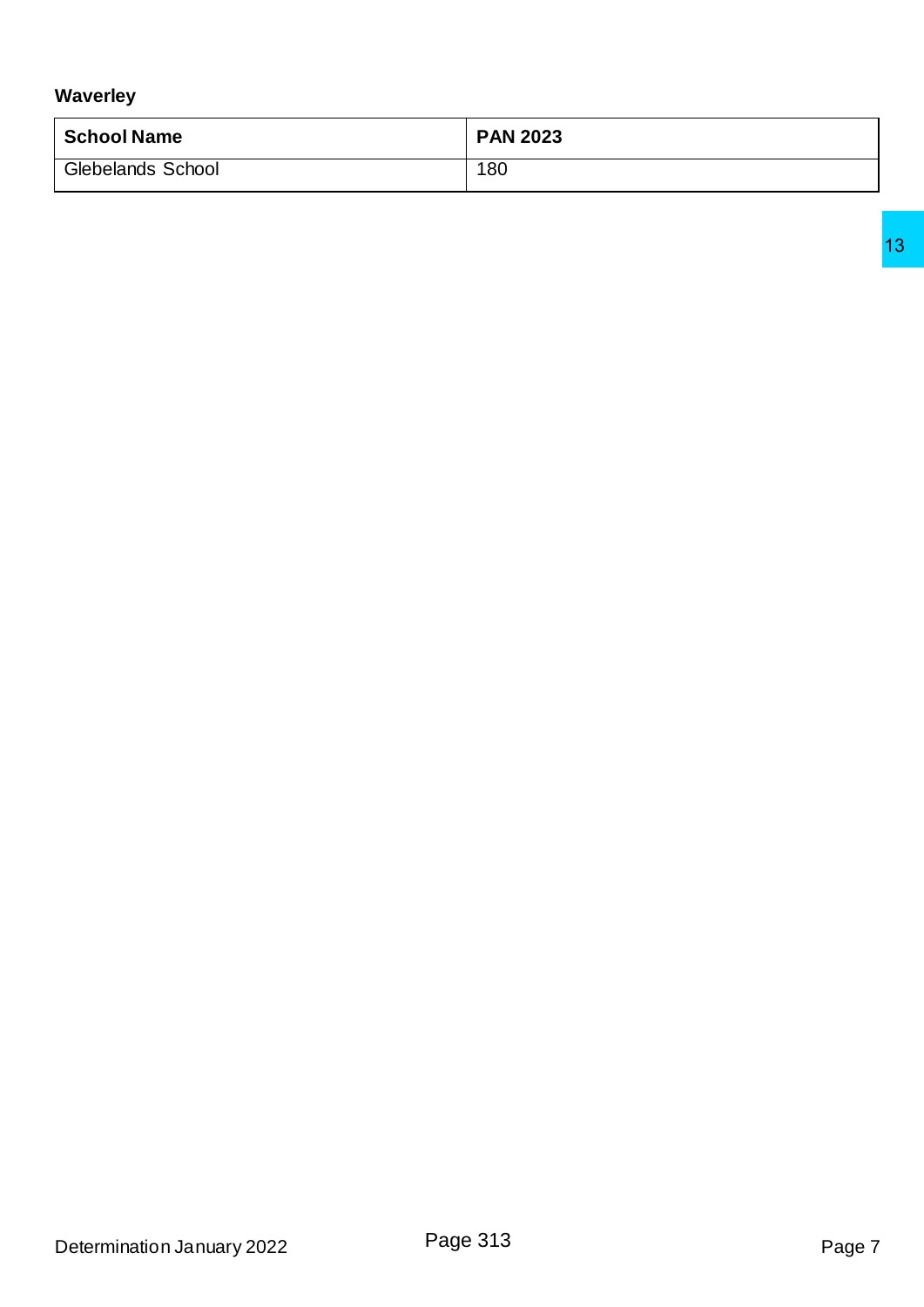### **Waverley**

| <b>School Name</b>       | <b>PAN 2023</b> |
|--------------------------|-----------------|
| <b>Glebelands School</b> | 180             |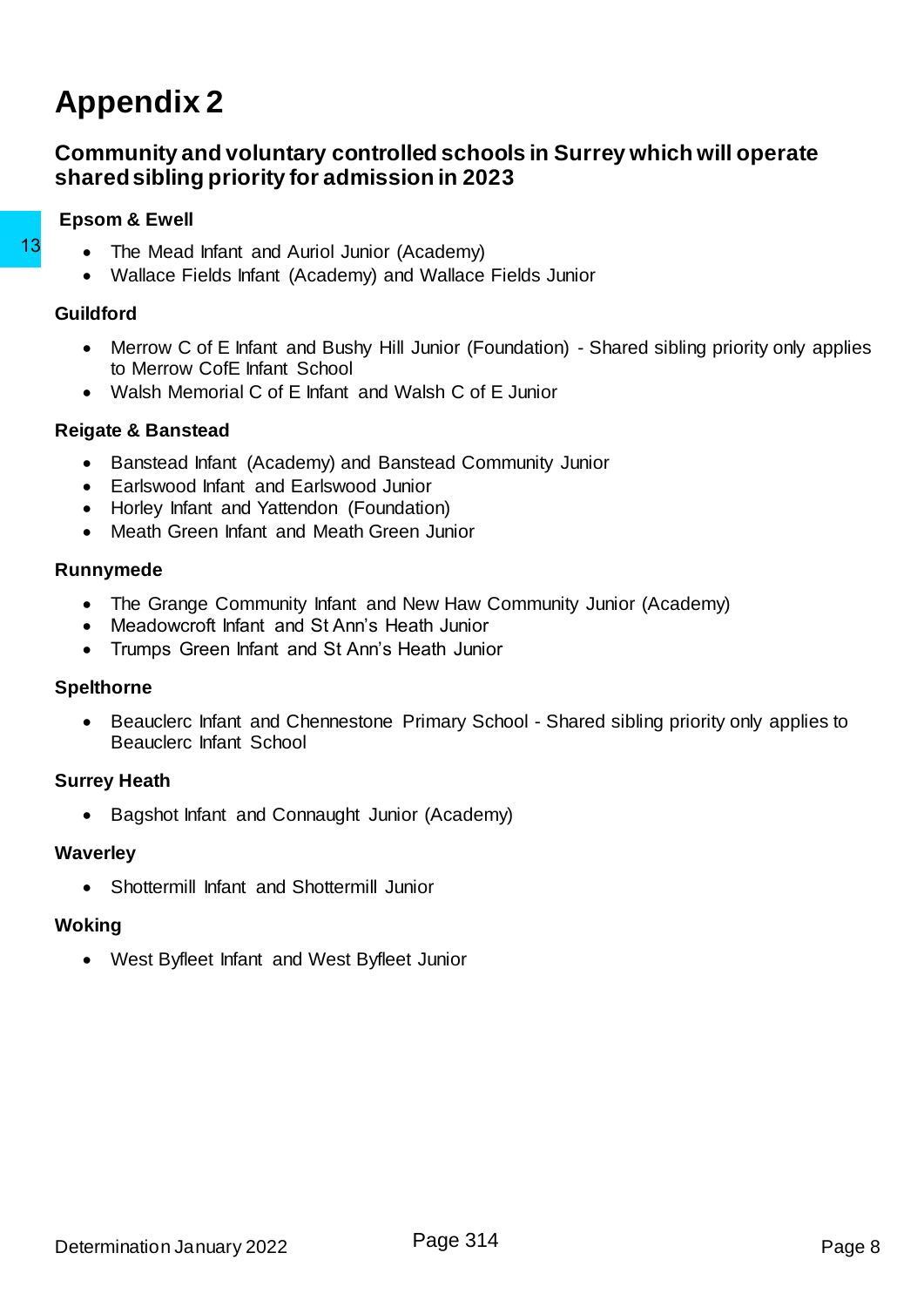## <span id="page-7-0"></span>**Appendix 2**

### <span id="page-7-1"></span>**Community and voluntary controlled schools in Surrey which will operate shared sibling priority for admission in 2023**

### **Epsom & Ewell**

- The Mead Infant and Auriol Junior (Academy)
	- Wallace Fields Infant (Academy) and Wallace Fields Junior

### **Guildford**

- Merrow C of E Infant and Bushy Hill Junior (Foundation) Shared sibling priority only applies to Merrow CofE Infant School 13 • The Mead Infant and Auriol Junior (Academy)<br>
• Wallace Fields Infant (Academy) and Wallace F<br>
• Merrow C of E Infant and Bushy Hill Junior (For<br>
• Merow C of E Infant and Bushy Hill Junior (For<br>
• Walsh Memorial C of
	- Walsh Memorial C of E Infant and Walsh C of E Junior

### **Reigate & Banstead**

- Banstead Infant (Academy) and Banstead Community Junior
- Earlswood Infant and Earlswood Junior
- Horley Infant and Yattendon (Foundation)
- Meath Green Infant and Meath Green Junior

### **Runnymede**

- The Grange Community Infant and New Haw Community Junior (Academy)
- Meadowcroft Infant and St Ann's Heath Junior
- Trumps Green Infant and St Ann's Heath Junior

### **Spelthorne**

• Beauclerc Infant and Chennestone Primary School - Shared sibling priority only applies to Beauclerc Infant School

### **Surrey Heath**

• Bagshot Infant and Connaught Junior (Academy)

### **Waverley**

Shottermill Infant and Shottermill Junior

### **Woking**

West Byfleet Infant and West Byfleet Junior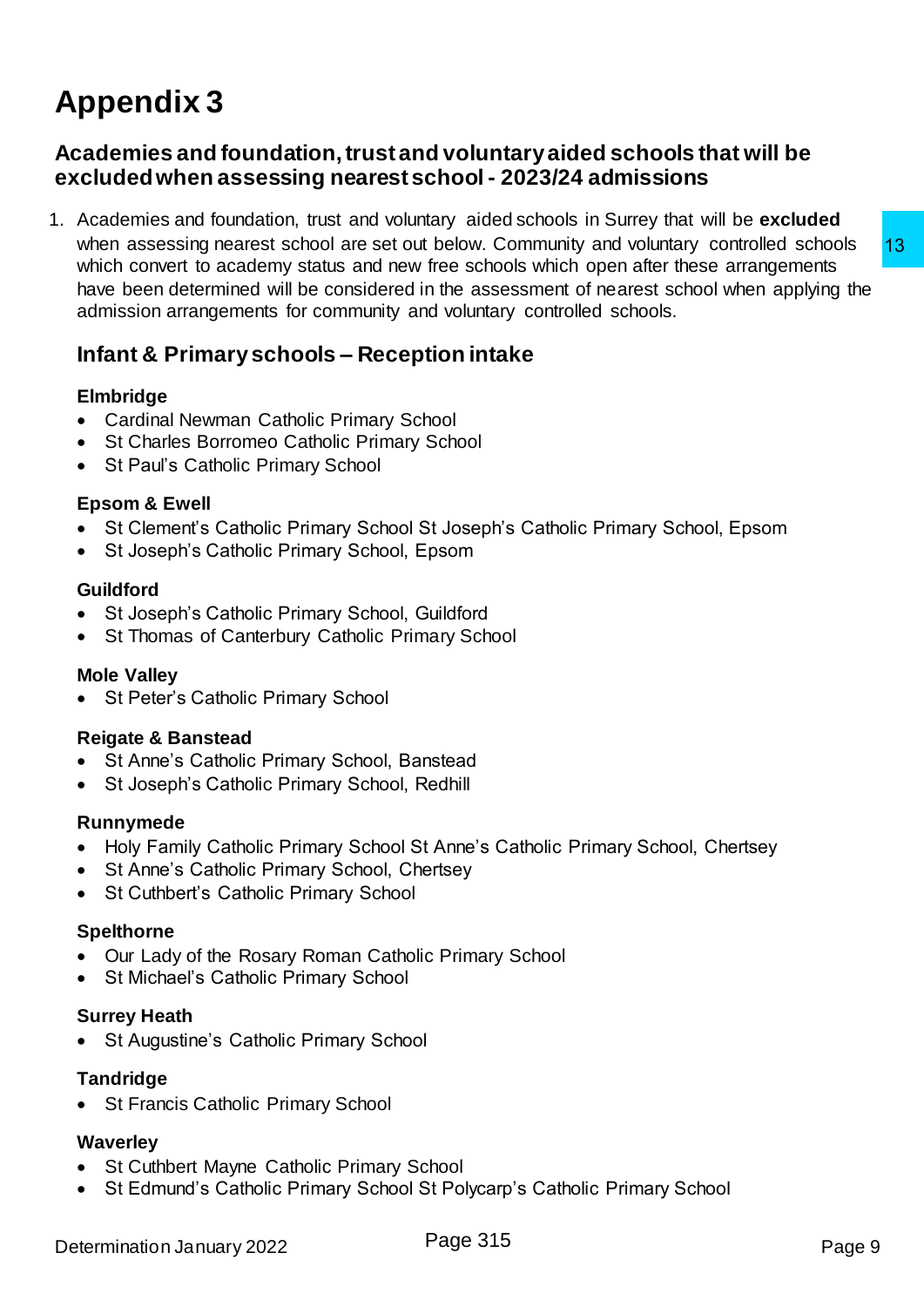# <span id="page-8-0"></span>**Appendix 3**

### <span id="page-8-1"></span>**Academies and foundation, trust and voluntary aided schools that will be excluded when assessing nearest school - 2023/24 admissions**

1. Academies and foundation, trust and voluntary aided schools in Surrey that will be **excluded**  when assessing nearest school are set out below. Community and voluntary controlled schools which convert to academy status and new free schools which open after these arrangements have been determined will be considered in the assessment of nearest school when applying the admission arrangements for community and voluntary controlled schools. thelew. Community and voluntary controlled schools<br>free schools which open after these arrangements<br>the schools which open after these arrangements<br>the divoluntary controlled schools.<br>**tion initake**<br>cools<br>School<br>School<br>Sch

### <span id="page-8-2"></span>**Infant & Primary schools – Reception intake**

### **Elmbridge**

- Cardinal Newman Catholic Primary School
- St Charles Borromeo Catholic Primary School
- St Paul's Catholic Primary School

### **Epsom & Ewell**

- St Clement's Catholic Primary School St Joseph's Catholic Primary School, Epsom
- St Joseph's Catholic Primary School, Epsom

### **Guildford**

- St Joseph's Catholic Primary School, Guildford
- St Thomas of Canterbury Catholic Primary School

### **Mole Valley**

St Peter's Catholic Primary School

### **Reigate & Banstead**

- St Anne's Catholic Primary School, Banstead
- St Joseph's Catholic Primary School, Redhill

### **Runnymede**

- Holy Family Catholic Primary School St Anne's Catholic Primary School, Chertsey
- St Anne's Catholic Primary School, Chertsey
- St Cuthbert's Catholic Primary School

### **Spelthorne**

- Our Lady of the Rosary Roman Catholic Primary School
- St Michael's Catholic Primary School

### **Surrey Heath**

• St Augustine's Catholic Primary School

### **Tandridge**

• St Francis Catholic Primary School

### **Waverley**

- St Cuthbert Mayne Catholic Primary School
- St Edmund's Catholic Primary School St Polycarp's Catholic Primary School